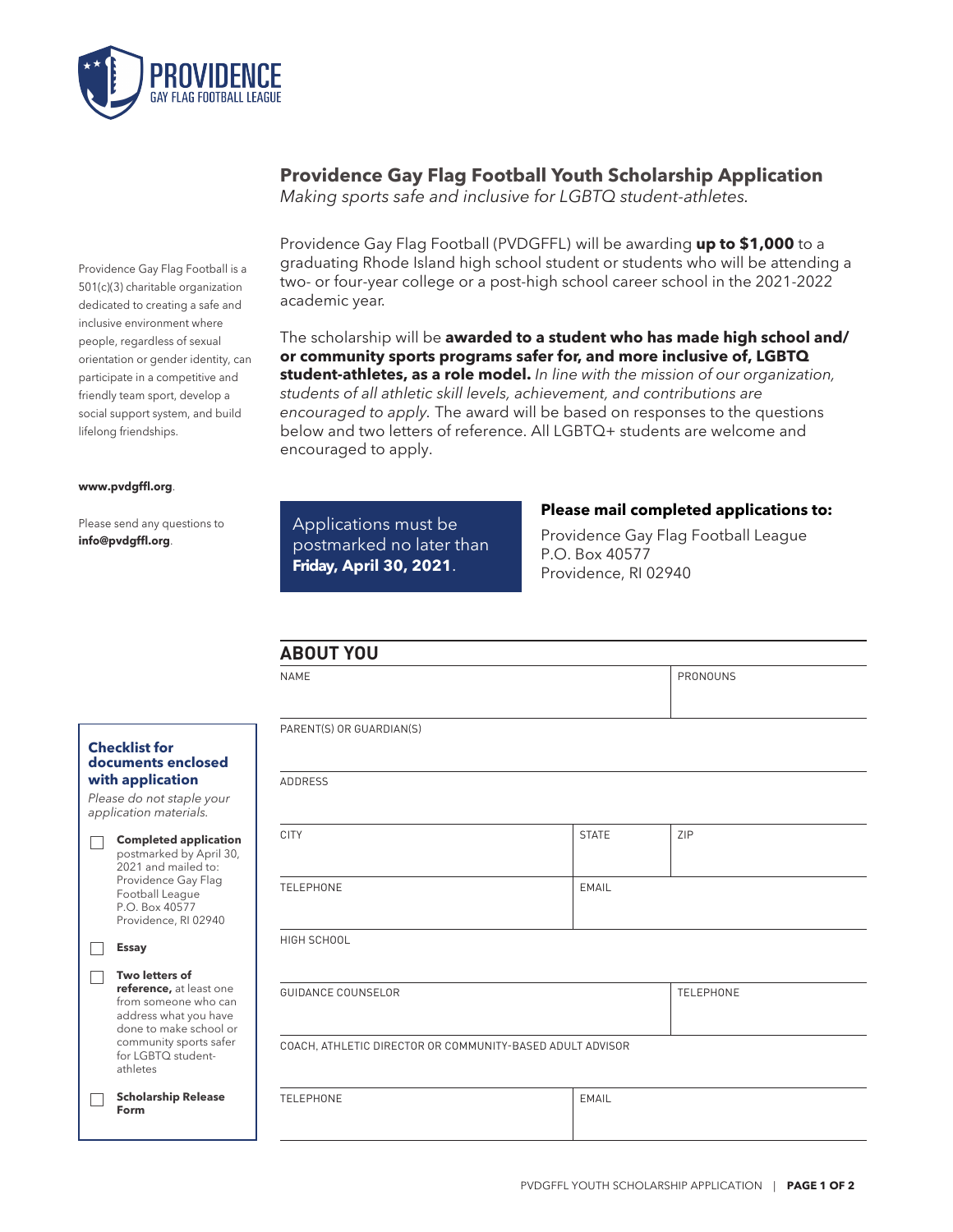

Providence Gay Flag Football is a 501(c)(3) charitable organization dedicated to creating a safe and inclusive environment where people, regardless of sexual orientation or gender identity, can participate in a competitive and friendly team sport, develop a social support system, and build lifelong friendships.

#### **www.pvdgffl.org**.

Please send any questions to **info@pvdgffl.org**.

## **Providence Gay Flag Football Youth Scholarship Application**

*Making sports safe and inclusive for LGBTQ student-athletes.*

Providence Gay Flag Football (PVDGFFL) will be awarding **up to \$1,000** to a graduating Rhode Island high school student or students who will be attending a two- or four-year college or a post-high school career school in the 2021-2022 academic year.

The scholarship will be **awarded to a student who has made high school and/ or community sports programs safer for, and more inclusive of, LGBTQ student-athletes, as a role model.** *In line with the mission of our organization, students of all athletic skill levels, achievement, and contributions are encouraged to apply.* The award will be based on responses to the questions below and two letters of reference. All LGBTQ+ students are welcome and encouraged to apply.

## Applications must be postmarked no later than **Friday, April 30, 2021**.

### **Please mail completed applications to:**

Providence Gay Flag Football League P.O. Box 40577 Providence, RI 02940

|   |                                                                                                                       | <b>ABOUT YOU</b>          |  |                  |          |  |
|---|-----------------------------------------------------------------------------------------------------------------------|---------------------------|--|------------------|----------|--|
|   |                                                                                                                       | <b>NAME</b>               |  |                  | PRONOUNS |  |
|   |                                                                                                                       |                           |  |                  |          |  |
|   |                                                                                                                       | PARENT(S) OR GUARDIAN(S)  |  |                  |          |  |
|   | <b>Checklist for</b><br>documents enclosed                                                                            |                           |  |                  |          |  |
|   | with application                                                                                                      | <b>ADDRESS</b>            |  |                  |          |  |
|   | Please do not staple your<br>application materials.                                                                   |                           |  |                  |          |  |
| Г | <b>Completed application</b><br>postmarked by April 30,<br>2021 and mailed to:                                        | <b>CITY</b>               |  | <b>STATE</b>     | ZIP      |  |
|   | Providence Gay Flag<br>Football League<br>P.O. Box 40577<br>Providence, RI 02940                                      | <b>TELEPHONE</b>          |  | EMAIL            |          |  |
|   | <b>Essay</b>                                                                                                          | HIGH SCHOOL               |  |                  |          |  |
|   | Two letters of                                                                                                        |                           |  |                  |          |  |
|   | reference, at least one<br>from someone who can<br>address what you have<br>done to make school or                    | <b>GUIDANCE COUNSELOR</b> |  | <b>TELEPHONE</b> |          |  |
|   | community sports safer<br>COACH, ATHLETIC DIRECTOR OR COMMUNITY-BASED ADULT ADVISOR<br>for LGBTO student-<br>athletes |                           |  |                  |          |  |
|   | <b>Scholarship Release</b><br>Form                                                                                    | <b>TELEPHONE</b>          |  | <b>EMAIL</b>     |          |  |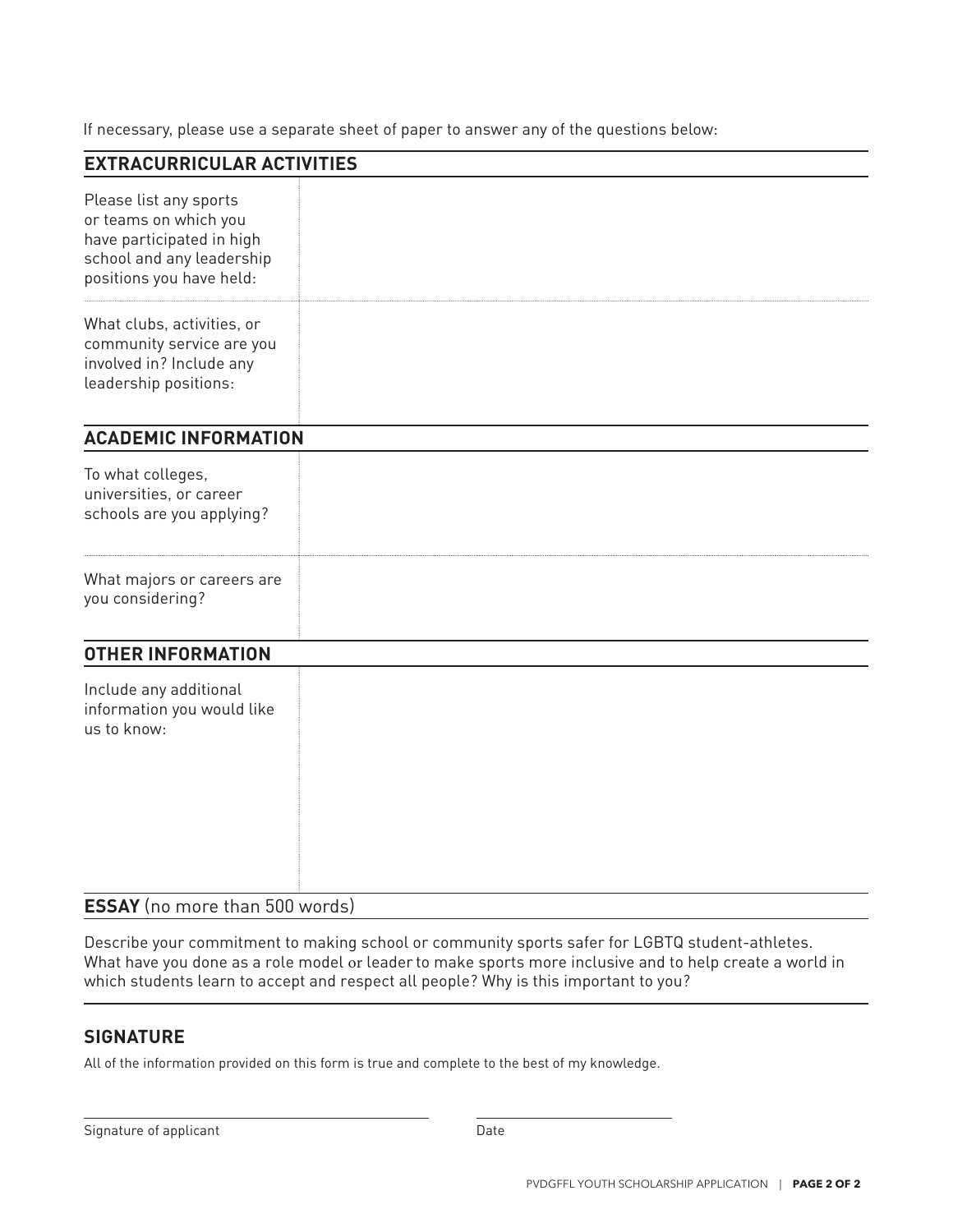If necessary, please use a separate sheet of paper to answer any of the questions below:

| <b>EXTRACURRICULAR ACTIVITIES</b>                                                                                                     |  |
|---------------------------------------------------------------------------------------------------------------------------------------|--|
| Please list any sports<br>or teams on which you<br>have participated in high<br>school and any leadership<br>positions you have held: |  |
| What clubs, activities, or<br>community service are you<br>involved in? Include any<br>leadership positions:                          |  |
| <b>ACADEMIC INFORMATION</b>                                                                                                           |  |
| To what colleges,<br>universities, or career<br>schools are you applying?                                                             |  |
| What majors or careers are<br>you considering?                                                                                        |  |
| <b>OTHER INFORMATION</b>                                                                                                              |  |
| Include any additional<br>information you would like<br>us to know:                                                                   |  |
| <b>ESSAY</b> (no more than 500 words)                                                                                                 |  |

Describe your commitment to making school or community sports safer for LGBTQ student-athletes. What have you done as a role model or leader to make sports more inclusive and to help create a world in which students learn to accept and respect all people? Why is this important to you?

## **SIGNATURE**

All of the information provided on this form is true and complete to the best of my knowledge.